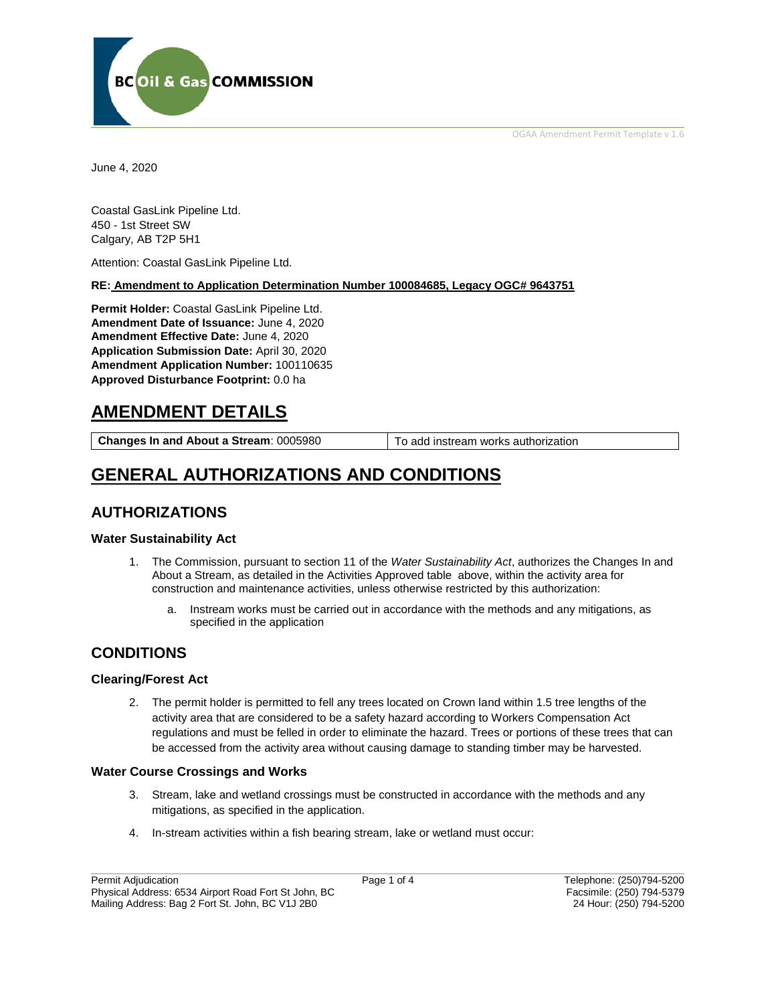OGAA Amendment Permit Template v 1.6



June 4, 2020

Coastal GasLink Pipeline Ltd. 450 - 1st Street SW Calgary, AB T2P 5H1

Attention: Coastal GasLink Pipeline Ltd.

#### **RE: Amendment to Application Determination Number 100084685, Legacy OGC# 9643751**

**Permit Holder:** Coastal GasLink Pipeline Ltd. **Amendment Date of Issuance:** June 4, 2020 **Amendment Effective Date:** June 4, 2020 **Application Submission Date:** April 30, 2020 **Amendment Application Number:** 100110635 **Approved Disturbance Footprint:** 0.0 ha

# **AMENDMENT DETAILS**

**Changes In and About a Stream:** 0005980 To add instream works authorization

# **GENERAL AUTHORIZATIONS AND CONDITIONS**

## **AUTHORIZATIONS**

## **Water Sustainability Act**

- 1. The Commission, pursuant to section 11 of the *Water Sustainability Act*, authorizes the Changes In and About a Stream, as detailed in the Activities Approved table above, within the activity area for construction and maintenance activities, unless otherwise restricted by this authorization:
	- a. Instream works must be carried out in accordance with the methods and any mitigations, as specified in the application

## **CONDITIONS**

## **Clearing/Forest Act**

2. The permit holder is permitted to fell any trees located on Crown land within 1.5 tree lengths of the activity area that are considered to be a safety hazard according to Workers Compensation Act regulations and must be felled in order to eliminate the hazard. Trees or portions of these trees that can be accessed from the activity area without causing damage to standing timber may be harvested.

## **Water Course Crossings and Works**

- 3. Stream, lake and wetland crossings must be constructed in accordance with the methods and any mitigations, as specified in the application.
- 4. In-stream activities within a fish bearing stream, lake or wetland must occur: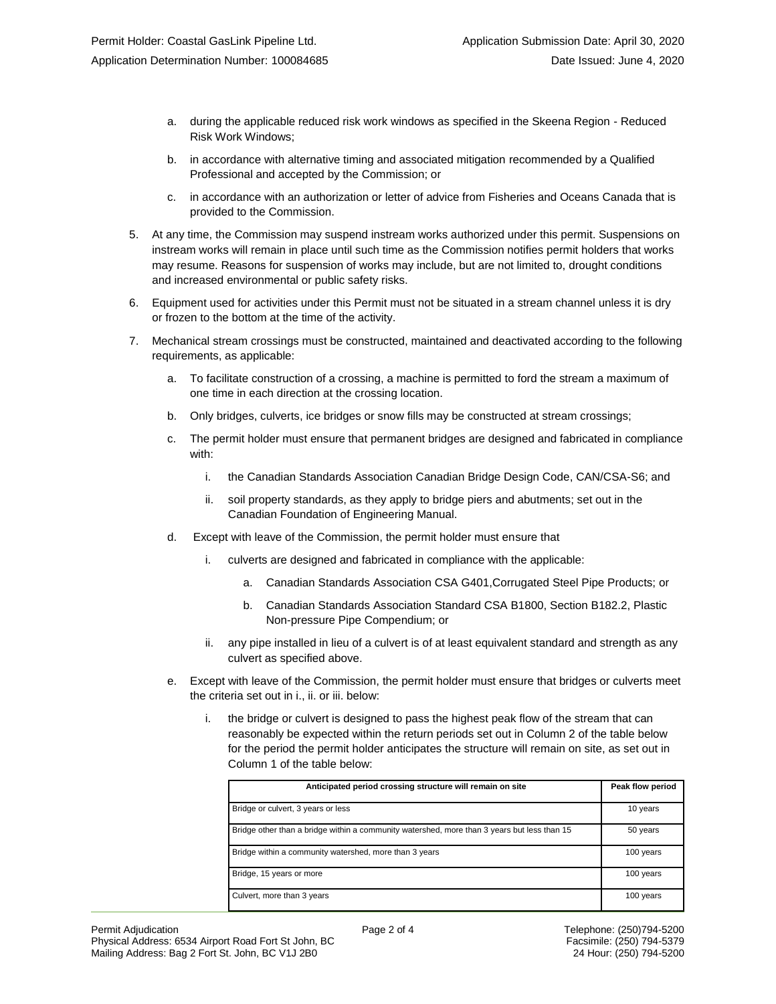- a. during the applicable reduced risk work windows as specified in the Skeena Region Reduced Risk Work Windows;
- b. in accordance with alternative timing and associated mitigation recommended by a Qualified Professional and accepted by the Commission; or
- c. in accordance with an authorization or letter of advice from Fisheries and Oceans Canada that is provided to the Commission.
- 5. At any time, the Commission may suspend instream works authorized under this permit. Suspensions on instream works will remain in place until such time as the Commission notifies permit holders that works may resume. Reasons for suspension of works may include, but are not limited to, drought conditions and increased environmental or public safety risks.
- 6. Equipment used for activities under this Permit must not be situated in a stream channel unless it is dry or frozen to the bottom at the time of the activity.
- 7. Mechanical stream crossings must be constructed, maintained and deactivated according to the following requirements, as applicable:
	- a. To facilitate construction of a crossing, a machine is permitted to ford the stream a maximum of one time in each direction at the crossing location.
	- b. Only bridges, culverts, ice bridges or snow fills may be constructed at stream crossings;
	- c. The permit holder must ensure that permanent bridges are designed and fabricated in compliance with:
		- i. the Canadian Standards Association Canadian Bridge Design Code, CAN/CSA-S6; and
		- ii. soil property standards, as they apply to bridge piers and abutments; set out in the Canadian Foundation of Engineering Manual.
	- d. Except with leave of the Commission, the permit holder must ensure that
		- i. culverts are designed and fabricated in compliance with the applicable:
			- a. Canadian Standards Association CSA G401,Corrugated Steel Pipe Products; or
			- b. Canadian Standards Association Standard CSA B1800, Section B182.2, Plastic Non-pressure Pipe Compendium; or
		- ii. any pipe installed in lieu of a culvert is of at least equivalent standard and strength as any culvert as specified above.
	- e. Except with leave of the Commission, the permit holder must ensure that bridges or culverts meet the criteria set out in i., ii. or iii. below:
		- i. the bridge or culvert is designed to pass the highest peak flow of the stream that can reasonably be expected within the return periods set out in Column 2 of the table below for the period the permit holder anticipates the structure will remain on site, as set out in Column 1 of the table below:

| Anticipated period crossing structure will remain on site                                   | Peak flow period |
|---------------------------------------------------------------------------------------------|------------------|
| Bridge or culvert, 3 years or less                                                          | 10 years         |
| Bridge other than a bridge within a community watershed, more than 3 years but less than 15 | 50 years         |
| Bridge within a community watershed, more than 3 years                                      | 100 years        |
| Bridge, 15 years or more                                                                    | 100 years        |
| Culvert, more than 3 years                                                                  | 100 years        |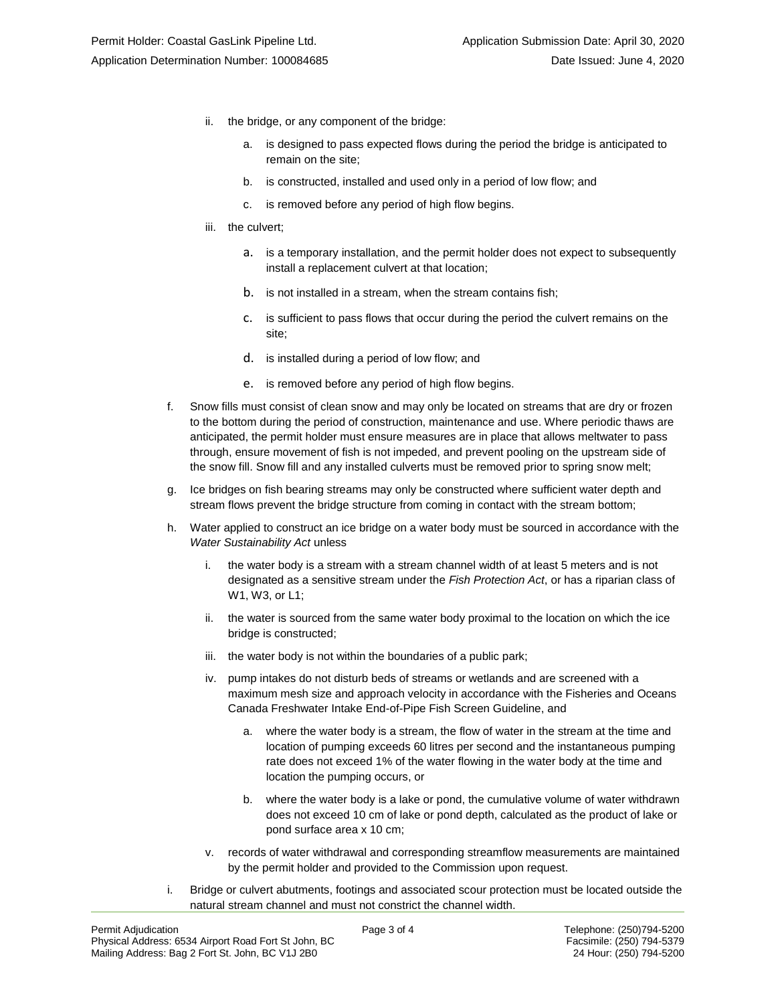- ii. the bridge, or any component of the bridge:
	- a. is designed to pass expected flows during the period the bridge is anticipated to remain on the site;
	- b. is constructed, installed and used only in a period of low flow; and
	- c. is removed before any period of high flow begins.
- iii. the culvert;
	- a. is a temporary installation, and the permit holder does not expect to subsequently install a replacement culvert at that location;
	- b. is not installed in a stream, when the stream contains fish;
	- c. is sufficient to pass flows that occur during the period the culvert remains on the site;
	- d. is installed during a period of low flow; and
	- e. is removed before any period of high flow begins.
- f. Snow fills must consist of clean snow and may only be located on streams that are dry or frozen to the bottom during the period of construction, maintenance and use. Where periodic thaws are anticipated, the permit holder must ensure measures are in place that allows meltwater to pass through, ensure movement of fish is not impeded, and prevent pooling on the upstream side of the snow fill. Snow fill and any installed culverts must be removed prior to spring snow melt;
- g. Ice bridges on fish bearing streams may only be constructed where sufficient water depth and stream flows prevent the bridge structure from coming in contact with the stream bottom;
- h. Water applied to construct an ice bridge on a water body must be sourced in accordance with the *Water Sustainability Act* unless
	- i. the water body is a stream with a stream channel width of at least 5 meters and is not designated as a sensitive stream under the *Fish Protection Act*, or has a riparian class of W1, W3, or L1;
	- ii. the water is sourced from the same water body proximal to the location on which the ice bridge is constructed;
	- iii. the water body is not within the boundaries of a public park;
	- iv. pump intakes do not disturb beds of streams or wetlands and are screened with a maximum mesh size and approach velocity in accordance with the Fisheries and Oceans Canada Freshwater Intake End-of-Pipe Fish Screen Guideline, and
		- a. where the water body is a stream, the flow of water in the stream at the time and location of pumping exceeds 60 litres per second and the instantaneous pumping rate does not exceed 1% of the water flowing in the water body at the time and location the pumping occurs, or
		- b. where the water body is a lake or pond, the cumulative volume of water withdrawn does not exceed 10 cm of lake or pond depth, calculated as the product of lake or pond surface area x 10 cm;
	- v. records of water withdrawal and corresponding streamflow measurements are maintained by the permit holder and provided to the Commission upon request.
- i. Bridge or culvert abutments, footings and associated scour protection must be located outside the natural stream channel and must not constrict the channel width.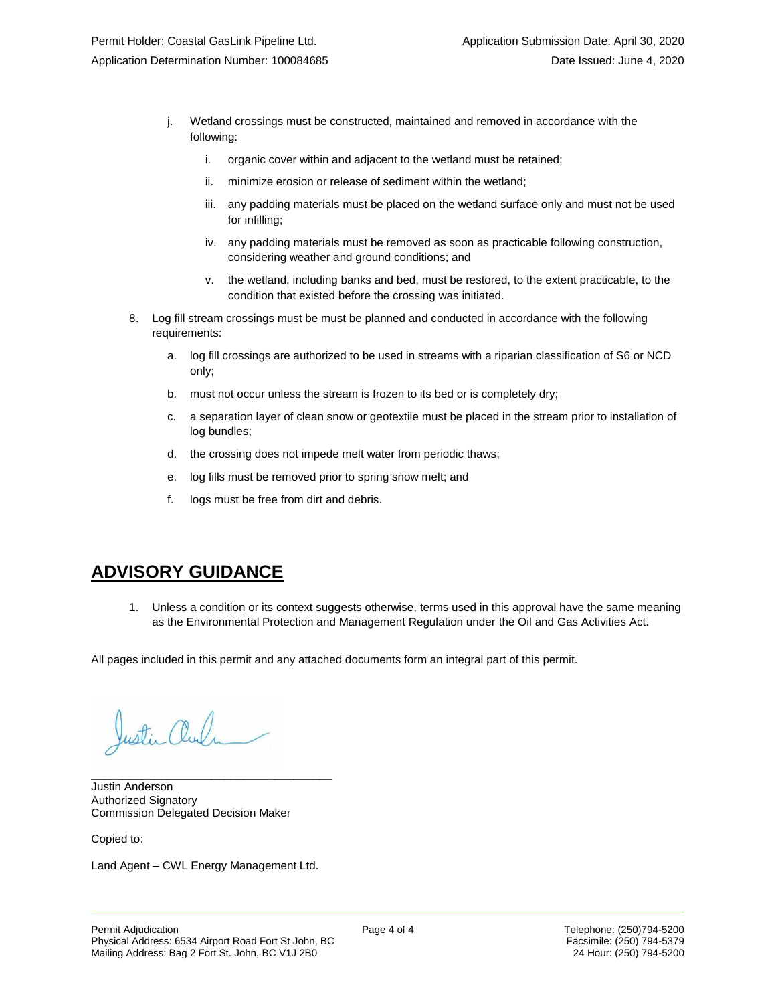- j. Wetland crossings must be constructed, maintained and removed in accordance with the following:
	- i. organic cover within and adjacent to the wetland must be retained;
	- ii. minimize erosion or release of sediment within the wetland;
	- iii. any padding materials must be placed on the wetland surface only and must not be used for infilling;
	- iv. any padding materials must be removed as soon as practicable following construction, considering weather and ground conditions; and
	- v. the wetland, including banks and bed, must be restored, to the extent practicable, to the condition that existed before the crossing was initiated.
- 8. Log fill stream crossings must be must be planned and conducted in accordance with the following requirements:
	- a. log fill crossings are authorized to be used in streams with a riparian classification of S6 or NCD only;
	- b. must not occur unless the stream is frozen to its bed or is completely dry;
	- c. a separation layer of clean snow or geotextile must be placed in the stream prior to installation of log bundles;
	- d. the crossing does not impede melt water from periodic thaws;
	- e. log fills must be removed prior to spring snow melt; and
	- f. logs must be free from dirt and debris.

## **ADVISORY GUIDANCE**

1. Unless a condition or its context suggests otherwise, terms used in this approval have the same meaning as the Environmental Protection and Management Regulation under the Oil and Gas Activities Act.

All pages included in this permit and any attached documents form an integral part of this permit.

ustin Cluf

\_\_\_\_\_\_\_\_\_\_\_\_\_\_\_\_\_\_\_\_\_\_\_\_\_\_\_\_\_\_\_\_\_\_\_\_\_\_ Justin Anderson Authorized Signatory Commission Delegated Decision Maker

Copied to:

Land Agent – CWL Energy Management Ltd.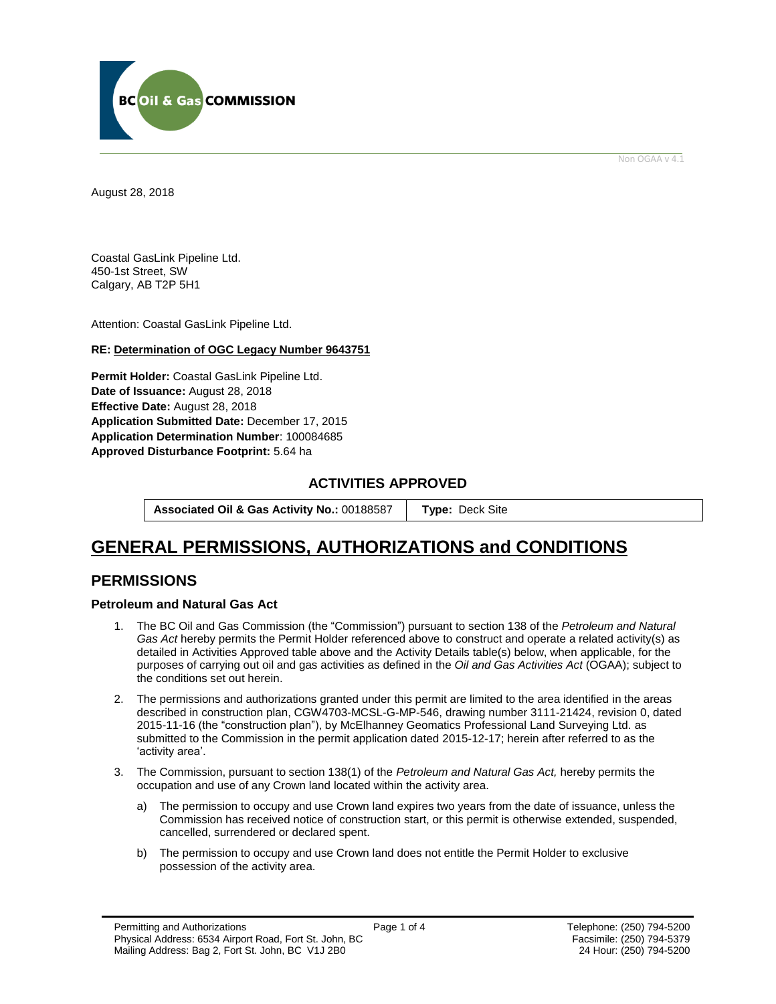

Non OGAA v 4.1

<span id="page-4-0"></span>August 28, 2018

Coastal GasLink Pipeline Ltd. 450-1st Street, SW Calgary, AB T2P 5H1

Attention: Coastal GasLink Pipeline Ltd.

## **RE: Determination of OGC Legacy Number 9643751**

**Permit Holder:** Coastal GasLink Pipeline Ltd. **Date of Issuance:** August 28, 2018 **Effective Date:** August 28, 2018 **Application Submitted Date:** December 17, 2015 **Application Determination Number**: 100084685 **[Approved Disturbance Footprint:](#page-4-0)** 5.64 ha

## **ACTIVITIES APPROVED**

**Associated Oil & Gas Activity No.:** 00188587 **[Type:](https://bi.bcogc.ca/Application%20Processing/Interactive%20Reports/(BIL-041)%20AMS%20Decision%20Summary.aspx)** Deck Site

## **GENERAL [PERMISSIONS,](#page-4-0) AUTHORIZATIONS and CONDITIONS**

## **PERMISSIONS**

## **Petroleum and Natural Gas Act**

- 1. The BC Oil and Gas Commission (the "Commission") pursuant to section 138 of the *Petroleum and Natural Gas Act* hereby permits the Permit Holder referenced above to construct and operate a related activity(s) as detailed in Activities Approved table above and the Activity Details table(s) below, when applicable, for the purposes of carrying out oil and gas activities as defined in the *Oil and Gas Activities Act* (OGAA); subject to the conditions set out herein.
- 2. The permissions and authorizations granted under this permit are limited to the area identified in the areas described in construction plan, CGW4703-MCSL-G-MP-546, drawing number 3111-21424, revision 0, dated 2015-11-16 (the "construction plan"), by McElhanney Geomatics Professional Land Surveying Ltd. as submitted to the Commission in the permit application dated 2015-12-17; herein after referred to as the 'activity area'.
- 3. The Commission, pursuant to section 138(1) of the *Petroleum and Natural Gas Act,* hereby permits the occupation and use of any Crown land located within the activity area.
	- a) The permission to occupy and use Crown land expires two years from the date of issuance, unless the Commission has received notice of construction start, or this permit is otherwise extended, suspended, cancelled, surrendered or declared spent.
	- b) The permission to occupy and use Crown land does not entitle the Permit Holder to exclusive possession of the activity area.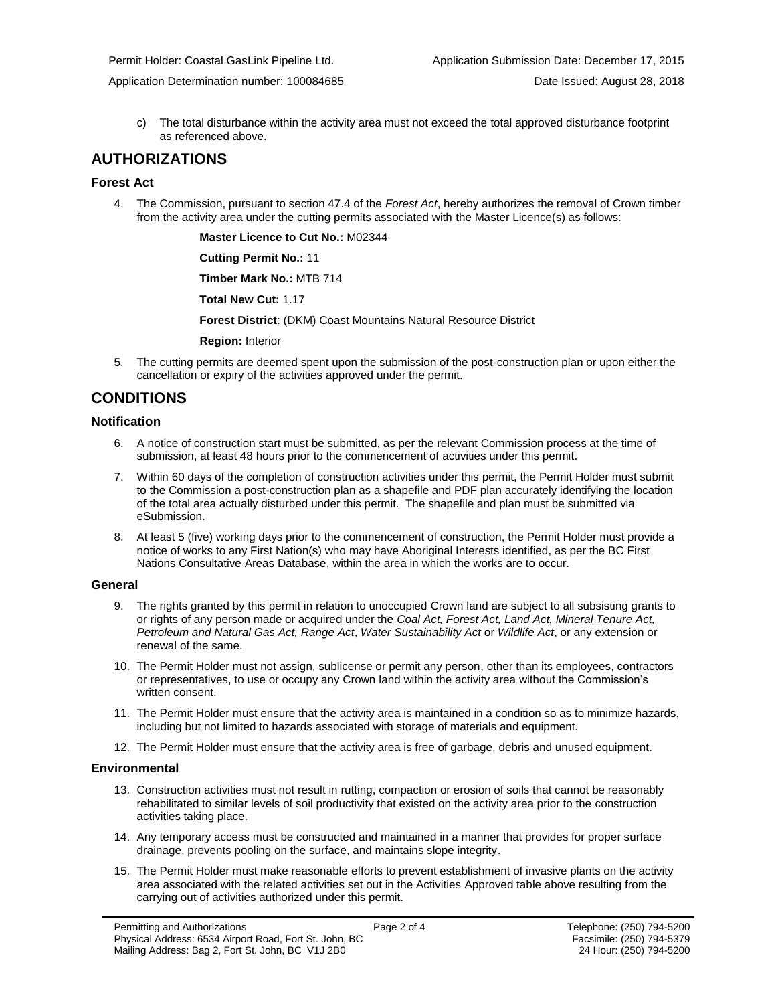Application Determination number: 100084685 Date Issued: August 28, 2018

c) The total disturbance within the activity area must not exceed the total approved disturbance footprint as referenced above.

## **AUTHORIZATIONS**

## **Forest Act**

4. The Commission, pursuant to section 47.4 of the *Forest Act*, hereby authorizes the removal of Crown timber from the activity area under the cutting permits associated with the Master Licence(s) as follows:

**Master Licence to Cut No.:** M02344

**Cutting Permit No.:** 11

**Timber Mark No.:** MTB 714

**Total New Cut:** 1.17

**[Forest District](https://ams-crd.bcogc.ca/crd/)**: (DKM) Coast Mountains Natural Resource District

**Region:** Interior

5. The cutting permits are deemed spent upon the submission of the post-construction plan or upon either the cancellation or expiry of the activities approved under the permit.

## **CONDITIONS**

## **Notification**

- 6. A notice of construction start must be submitted, as per the relevant Commission process at the time of submission, at least 48 hours prior to the commencement of activities under this permit.
- 7. Within 60 days of the completion of construction activities under this permit, the Permit Holder must submit to the Commission a post-construction plan as a shapefile and PDF plan accurately identifying the location of the total area actually disturbed under this permit. The shapefile and plan must be submitted via eSubmission.
- 8. At least 5 (five) working days prior to the commencement of construction, the Permit Holder must provide a notice of works to any First Nation(s) who may have Aboriginal Interests identified, as per the BC First Nations Consultative Areas Database, within the area in which the works are to occur.

## **General**

- 9. The rights granted by this permit in relation to unoccupied Crown land are subject to all subsisting grants to or rights of any person made or acquired under the *Coal Act, Forest Act, Land Act, Mineral Tenure Act, Petroleum and Natural Gas Act, Range Act*, *Water Sustainability Act* or *Wildlife Act*, or any extension or renewal of the same.
- 10. The Permit Holder must not assign, sublicense or permit any person, other than its employees, contractors or representatives, to use or occupy any Crown land within the activity area without the Commission's written consent.
- 11. The Permit Holder must ensure that the activity area is maintained in a condition so as to minimize hazards, including but not limited to hazards associated with storage of materials and equipment.
- 12. The Permit Holder must ensure that the activity area is free of garbage, debris and unused equipment.

## **Environmental**

- 13. Construction activities must not result in rutting, compaction or erosion of soils that cannot be reasonably rehabilitated to similar levels of soil productivity that existed on the activity area prior to the construction activities taking place.
- 14. Any temporary access must be constructed and maintained in a manner that provides for proper surface drainage, prevents pooling on the surface, and maintains slope integrity.
- 15. The Permit Holder must make reasonable efforts to prevent establishment of invasive plants on the activity area associated with the related activities set out in the Activities Approved table above resulting from the carrying out of activities authorized under this permit.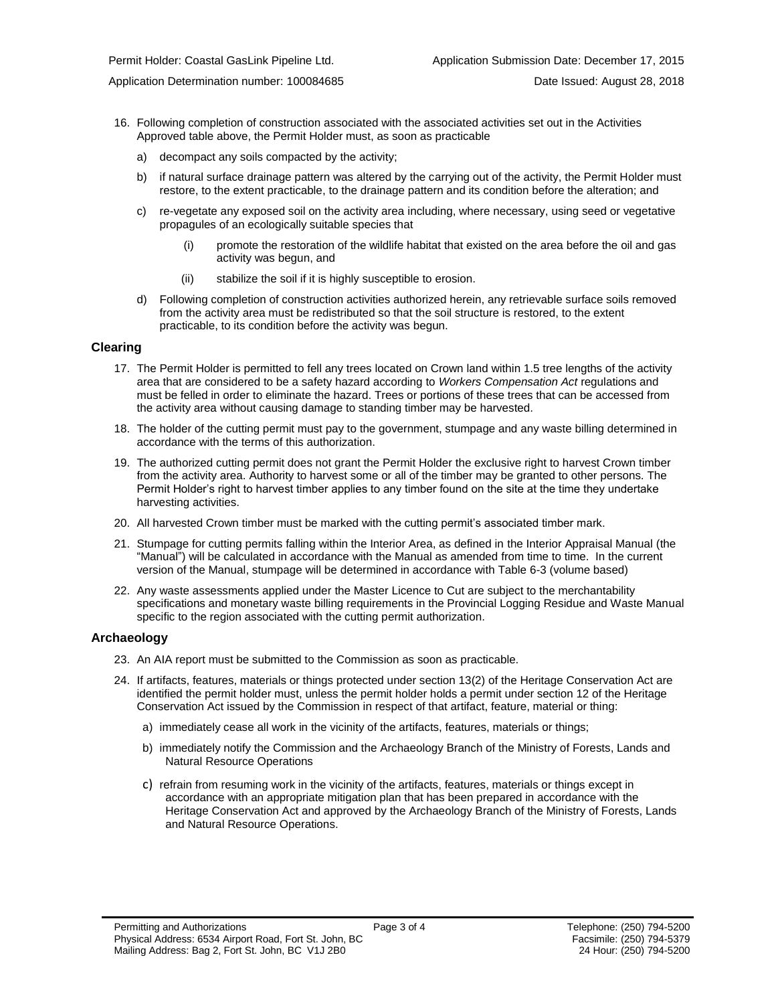Application Determination number: 100084685 Date Issued: August 28, 2018

- 16. Following completion of construction associated with the associated activities set out in the Activities Approved table above, the Permit Holder must, as soon as practicable
	- a) decompact any soils compacted by the activity;
	- b) if natural surface drainage pattern was altered by the carrying out of the activity, the Permit Holder must restore, to the extent practicable, to the drainage pattern and its condition before the alteration; and
	- c) re-vegetate any exposed soil on the activity area including, where necessary, using seed or vegetative propagules of an ecologically suitable species that
		- (i) promote the restoration of the wildlife habitat that existed on the area before the oil and gas activity was begun, and
		- (ii) stabilize the soil if it is highly susceptible to erosion.
	- d) Following completion of construction activities authorized herein, any retrievable surface soils removed from the activity area must be redistributed so that the soil structure is restored, to the extent practicable, to its condition before the activity was begun.

#### **Clearing**

- 17. The Permit Holder is permitted to fell any trees located on Crown land within 1.5 tree lengths of the activity area that are considered to be a safety hazard according to *Workers Compensation Act* regulations and must be felled in order to eliminate the hazard. Trees or portions of these trees that can be accessed from the activity area without causing damage to standing timber may be harvested.
- 18. The holder of the cutting permit must pay to the government, stumpage and any waste billing determined in accordance with the terms of this authorization.
- 19. The authorized cutting permit does not grant the Permit Holder the exclusive right to harvest Crown timber from the activity area. Authority to harvest some or all of the timber may be granted to other persons. The Permit Holder's right to harvest timber applies to any timber found on the site at the time they undertake harvesting activities.
- 20. All harvested Crown timber must be marked with the cutting permit's associated timber mark.
- 21. Stumpage for cutting permits falling within the Interior Area, as defined in the Interior Appraisal Manual (the "Manual") will be calculated in accordance with the Manual as amended from time to time. In the current version of the Manual, stumpage will be determined in accordance with Table 6-3 (volume based)
- 22. Any waste assessments applied under the Master Licence to Cut are subject to the merchantability specifications and monetary waste billing requirements in the Provincial Logging Residue and Waste Manual specific to the region associated with the cutting permi[t authorization.](#page-4-0)

#### **Archaeology**

- 23. An AIA report must be submitted to the Commission as soon as practicable.
- 24. If artifacts, features, materials or things protected under section 13(2) of the Heritage Conservation Act are identified the permit holder must, unless the permit holder holds a permit under section 12 of the Heritage Conservation Act issued by the Commission in respect of that artifact, feature, material or thing:
	- a) immediately cease all work in the vicinity of the artifacts, features, materials or things;
	- b) immediately notify the Commission and the Archaeology Branch of the Ministry of Forests, Lands and Natural Resource Operations
	- c) refrain from resuming work in the vicinity of the artifacts, features, materials or things except in accordance with an appropriate mitigation plan that has been prepared in accordance with the Heritage Conservation Act and approved by the Archaeology Branch of the Ministry of Forests, Lands and Natural Resource Operations.